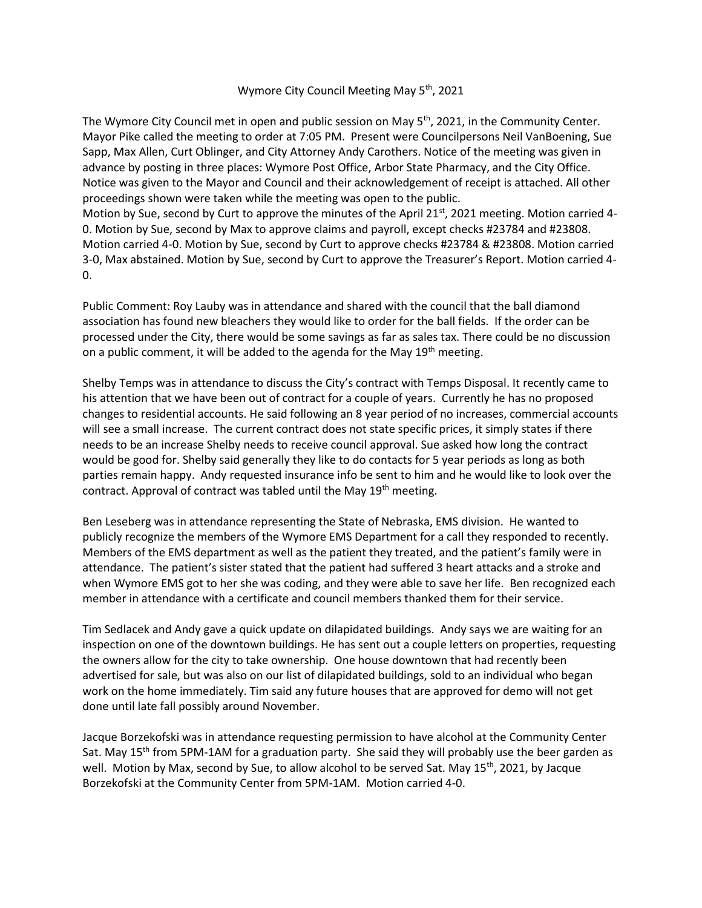## Wymore City Council Meeting May 5<sup>th</sup>, 2021

The Wymore City Council met in open and public session on May  $5<sup>th</sup>$ , 2021, in the Community Center. Mayor Pike called the meeting to order at 7:05 PM. Present were Councilpersons Neil VanBoening, Sue Sapp, Max Allen, Curt Oblinger, and City Attorney Andy Carothers. Notice of the meeting was given in advance by posting in three places: Wymore Post Office, Arbor State Pharmacy, and the City Office. Notice was given to the Mayor and Council and their acknowledgement of receipt is attached. All other proceedings shown were taken while the meeting was open to the public. Motion by Sue, second by Curt to approve the minutes of the April 21st, 2021 meeting. Motion carried 4-0. Motion by Sue, second by Max to approve claims and payroll, except checks #23784 and #23808. Motion carried 4-0. Motion by Sue, second by Curt to approve checks #23784 & #23808. Motion carried

3-0, Max abstained. Motion by Sue, second by Curt to approve the Treasurer's Report. Motion carried 4- 0.

Public Comment: Roy Lauby was in attendance and shared with the council that the ball diamond association has found new bleachers they would like to order for the ball fields. If the order can be processed under the City, there would be some savings as far as sales tax. There could be no discussion on a public comment, it will be added to the agenda for the May  $19<sup>th</sup>$  meeting.

Shelby Temps was in attendance to discuss the City's contract with Temps Disposal. It recently came to his attention that we have been out of contract for a couple of years. Currently he has no proposed changes to residential accounts. He said following an 8 year period of no increases, commercial accounts will see a small increase. The current contract does not state specific prices, it simply states if there needs to be an increase Shelby needs to receive council approval. Sue asked how long the contract would be good for. Shelby said generally they like to do contacts for 5 year periods as long as both parties remain happy. Andy requested insurance info be sent to him and he would like to look over the contract. Approval of contract was tabled until the May  $19<sup>th</sup>$  meeting.

Ben Leseberg was in attendance representing the State of Nebraska, EMS division. He wanted to publicly recognize the members of the Wymore EMS Department for a call they responded to recently. Members of the EMS department as well as the patient they treated, and the patient's family were in attendance. The patient's sister stated that the patient had suffered 3 heart attacks and a stroke and when Wymore EMS got to her she was coding, and they were able to save her life. Ben recognized each member in attendance with a certificate and council members thanked them for their service.

Tim Sedlacek and Andy gave a quick update on dilapidated buildings. Andy says we are waiting for an inspection on one of the downtown buildings. He has sent out a couple letters on properties, requesting the owners allow for the city to take ownership. One house downtown that had recently been advertised for sale, but was also on our list of dilapidated buildings, sold to an individual who began work on the home immediately. Tim said any future houses that are approved for demo will not get done until late fall possibly around November.

Jacque Borzekofski was in attendance requesting permission to have alcohol at the Community Center Sat. May 15<sup>th</sup> from 5PM-1AM for a graduation party. She said they will probably use the beer garden as well. Motion by Max, second by Sue, to allow alcohol to be served Sat. May 15<sup>th</sup>, 2021, by Jacque Borzekofski at the Community Center from 5PM-1AM. Motion carried 4-0.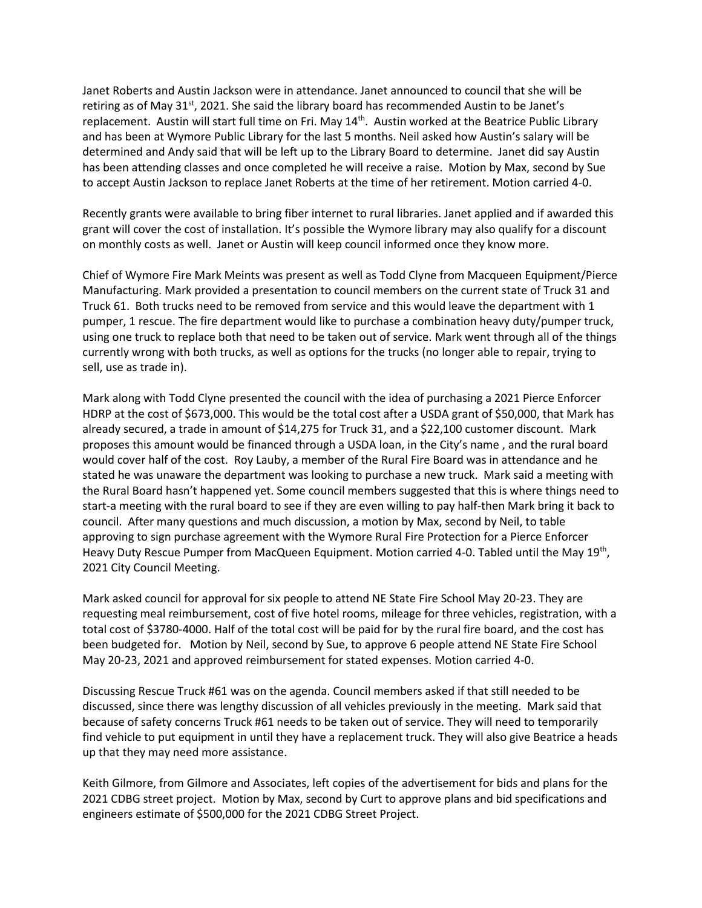Janet Roberts and Austin Jackson were in attendance. Janet announced to council that she will be retiring as of May 31<sup>st</sup>, 2021. She said the library board has recommended Austin to be Janet's replacement. Austin will start full time on Fri. May 14<sup>th</sup>. Austin worked at the Beatrice Public Library and has been at Wymore Public Library for the last 5 months. Neil asked how Austin's salary will be determined and Andy said that will be left up to the Library Board to determine. Janet did say Austin has been attending classes and once completed he will receive a raise. Motion by Max, second by Sue to accept Austin Jackson to replace Janet Roberts at the time of her retirement. Motion carried 4-0.

Recently grants were available to bring fiber internet to rural libraries. Janet applied and if awarded this grant will cover the cost of installation. It's possible the Wymore library may also qualify for a discount on monthly costs as well. Janet or Austin will keep council informed once they know more.

Chief of Wymore Fire Mark Meints was present as well as Todd Clyne from Macqueen Equipment/Pierce Manufacturing. Mark provided a presentation to council members on the current state of Truck 31 and Truck 61. Both trucks need to be removed from service and this would leave the department with 1 pumper, 1 rescue. The fire department would like to purchase a combination heavy duty/pumper truck, using one truck to replace both that need to be taken out of service. Mark went through all of the things currently wrong with both trucks, as well as options for the trucks (no longer able to repair, trying to sell, use as trade in).

Mark along with Todd Clyne presented the council with the idea of purchasing a 2021 Pierce Enforcer HDRP at the cost of \$673,000. This would be the total cost after a USDA grant of \$50,000, that Mark has already secured, a trade in amount of \$14,275 for Truck 31, and a \$22,100 customer discount. Mark proposes this amount would be financed through a USDA loan, in the City's name , and the rural board would cover half of the cost. Roy Lauby, a member of the Rural Fire Board was in attendance and he stated he was unaware the department was looking to purchase a new truck. Mark said a meeting with the Rural Board hasn't happened yet. Some council members suggested that this is where things need to start-a meeting with the rural board to see if they are even willing to pay half-then Mark bring it back to council. After many questions and much discussion, a motion by Max, second by Neil, to table approving to sign purchase agreement with the Wymore Rural Fire Protection for a Pierce Enforcer Heavy Duty Rescue Pumper from MacQueen Equipment. Motion carried 4-0. Tabled until the May 19<sup>th</sup>, 2021 City Council Meeting.

Mark asked council for approval for six people to attend NE State Fire School May 20-23. They are requesting meal reimbursement, cost of five hotel rooms, mileage for three vehicles, registration, with a total cost of \$3780-4000. Half of the total cost will be paid for by the rural fire board, and the cost has been budgeted for. Motion by Neil, second by Sue, to approve 6 people attend NE State Fire School May 20-23, 2021 and approved reimbursement for stated expenses. Motion carried 4-0.

Discussing Rescue Truck #61 was on the agenda. Council members asked if that still needed to be discussed, since there was lengthy discussion of all vehicles previously in the meeting. Mark said that because of safety concerns Truck #61 needs to be taken out of service. They will need to temporarily find vehicle to put equipment in until they have a replacement truck. They will also give Beatrice a heads up that they may need more assistance.

Keith Gilmore, from Gilmore and Associates, left copies of the advertisement for bids and plans for the 2021 CDBG street project. Motion by Max, second by Curt to approve plans and bid specifications and engineers estimate of \$500,000 for the 2021 CDBG Street Project.